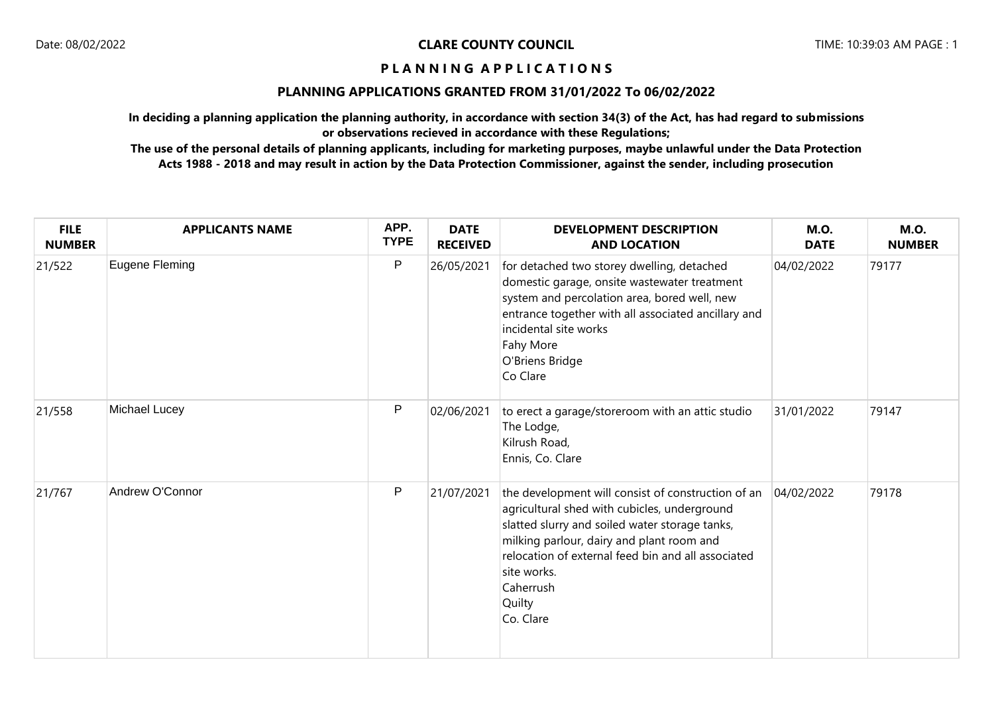## **PLANNING APPLICATIONS GRANTED FROM 31/01/2022 To 06/02/2022**

**In deciding a planning application the planning authority, in accordance with section 34(3) of the Act, has had regard to submissions or observations recieved in accordance with these Regulations;**

| <b>FILE</b><br><b>NUMBER</b> | <b>APPLICANTS NAME</b> | APP.<br><b>TYPE</b> | <b>DATE</b><br><b>RECEIVED</b> | <b>DEVELOPMENT DESCRIPTION</b><br><b>AND LOCATION</b>                                                                                                                                                                                                                                                      | <b>M.O.</b><br><b>DATE</b> | <b>M.O.</b><br><b>NUMBER</b> |
|------------------------------|------------------------|---------------------|--------------------------------|------------------------------------------------------------------------------------------------------------------------------------------------------------------------------------------------------------------------------------------------------------------------------------------------------------|----------------------------|------------------------------|
| 21/522                       | Eugene Fleming         | P                   | 26/05/2021                     | for detached two storey dwelling, detached<br>domestic garage, onsite wastewater treatment<br>system and percolation area, bored well, new<br>entrance together with all associated ancillary and<br>incidental site works<br>Fahy More<br>O'Briens Bridge<br>Co Clare                                     | 04/02/2022                 | 79177                        |
| 21/558                       | Michael Lucey          | P                   | 02/06/2021                     | to erect a garage/storeroom with an attic studio<br>The Lodge,<br>Kilrush Road,<br>Ennis, Co. Clare                                                                                                                                                                                                        | 31/01/2022                 | 79147                        |
| 21/767                       | Andrew O'Connor        | P                   | 21/07/2021                     | the development will consist of construction of an<br>agricultural shed with cubicles, underground<br>slatted slurry and soiled water storage tanks,<br>milking parlour, dairy and plant room and<br>relocation of external feed bin and all associated<br>site works.<br>Caherrush<br>Quilty<br>Co. Clare | 04/02/2022                 | 79178                        |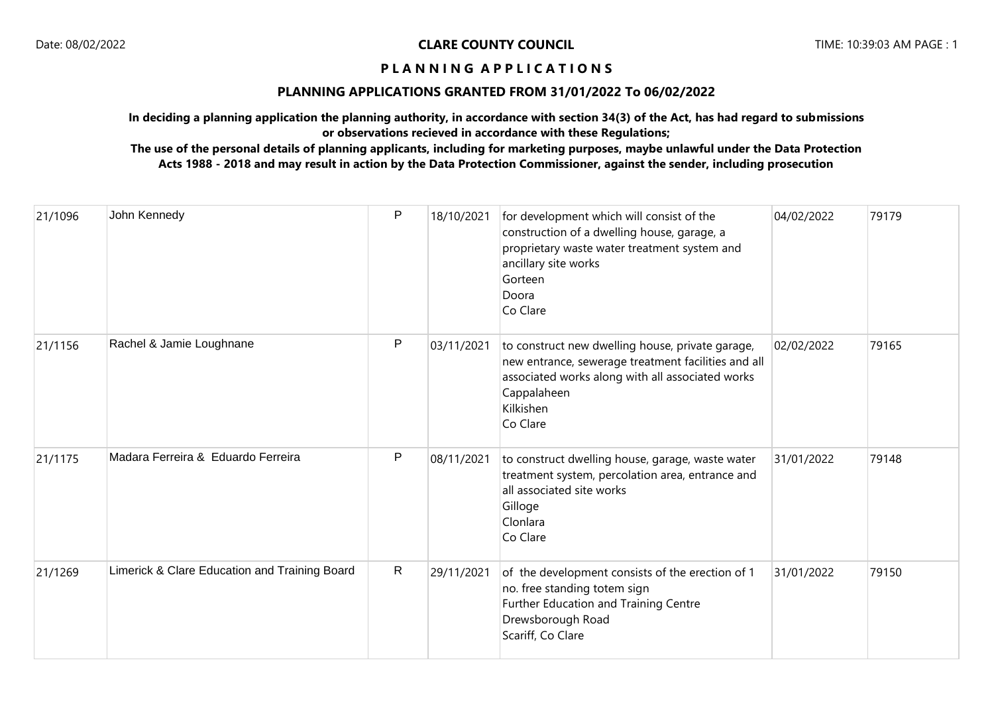## **PLANNING APPLICATIONS GRANTED FROM 31/01/2022 To 06/02/2022**

**In deciding a planning application the planning authority, in accordance with section 34(3) of the Act, has had regard to submissions or observations recieved in accordance with these Regulations;**

| 21/1096 | John Kennedy                                  | P            | 18/10/2021 | for development which will consist of the<br>construction of a dwelling house, garage, a<br>proprietary waste water treatment system and<br>ancillary site works<br>Gorteen<br>Doora<br>Co Clare    | 04/02/2022 | 79179 |
|---------|-----------------------------------------------|--------------|------------|-----------------------------------------------------------------------------------------------------------------------------------------------------------------------------------------------------|------------|-------|
| 21/1156 | Rachel & Jamie Loughnane                      | P            | 03/11/2021 | to construct new dwelling house, private garage,<br>new entrance, sewerage treatment facilities and all<br>associated works along with all associated works<br>Cappalaheen<br>Kilkishen<br>Co Clare | 02/02/2022 | 79165 |
| 21/1175 | Madara Ferreira & Eduardo Ferreira            | P            | 08/11/2021 | to construct dwelling house, garage, waste water<br>treatment system, percolation area, entrance and<br>all associated site works<br>Gilloge<br>Clonlara<br>Co Clare                                | 31/01/2022 | 79148 |
| 21/1269 | Limerick & Clare Education and Training Board | $\mathsf{R}$ | 29/11/2021 | of the development consists of the erection of 1<br>no. free standing totem sign<br>Further Education and Training Centre<br>Drewsborough Road<br>Scariff, Co Clare                                 | 31/01/2022 | 79150 |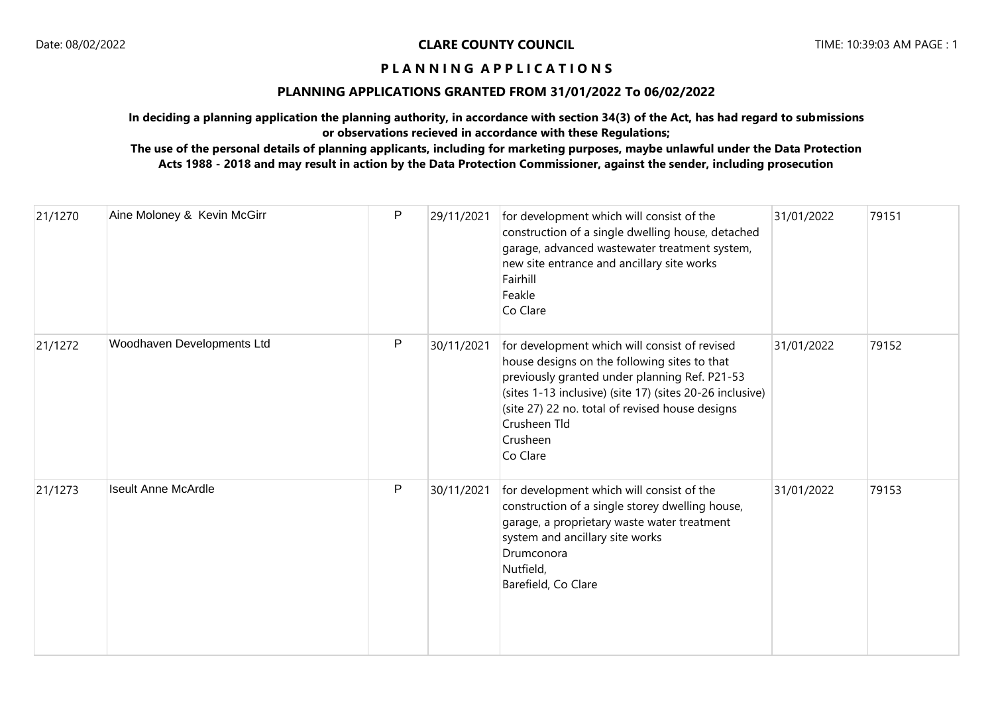# **PLANNING APPLICATIONS GRANTED FROM 31/01/2022 To 06/02/2022**

**In deciding a planning application the planning authority, in accordance with section 34(3) of the Act, has had regard to submissions or observations recieved in accordance with these Regulations;**

| 21/1270 | Aine Moloney & Kevin McGirr | P | 29/11/2021 | for development which will consist of the<br>construction of a single dwelling house, detached<br>garage, advanced wastewater treatment system,<br>new site entrance and ancillary site works<br>Fairhill<br>Feakle<br>Co Clare                                                                       | 31/01/2022 | 79151 |
|---------|-----------------------------|---|------------|-------------------------------------------------------------------------------------------------------------------------------------------------------------------------------------------------------------------------------------------------------------------------------------------------------|------------|-------|
| 21/1272 | Woodhaven Developments Ltd  | P | 30/11/2021 | for development which will consist of revised<br>house designs on the following sites to that<br>previously granted under planning Ref. P21-53<br>(sites 1-13 inclusive) (site 17) (sites 20-26 inclusive)<br>(site 27) 22 no. total of revised house designs<br>Crusheen Tld<br>Crusheen<br>Co Clare | 31/01/2022 | 79152 |
| 21/1273 | <b>Iseult Anne McArdle</b>  | P | 30/11/2021 | for development which will consist of the<br>construction of a single storey dwelling house,<br>garage, a proprietary waste water treatment<br>system and ancillary site works<br>Drumconora<br>Nutfield,<br>Barefield, Co Clare                                                                      | 31/01/2022 | 79153 |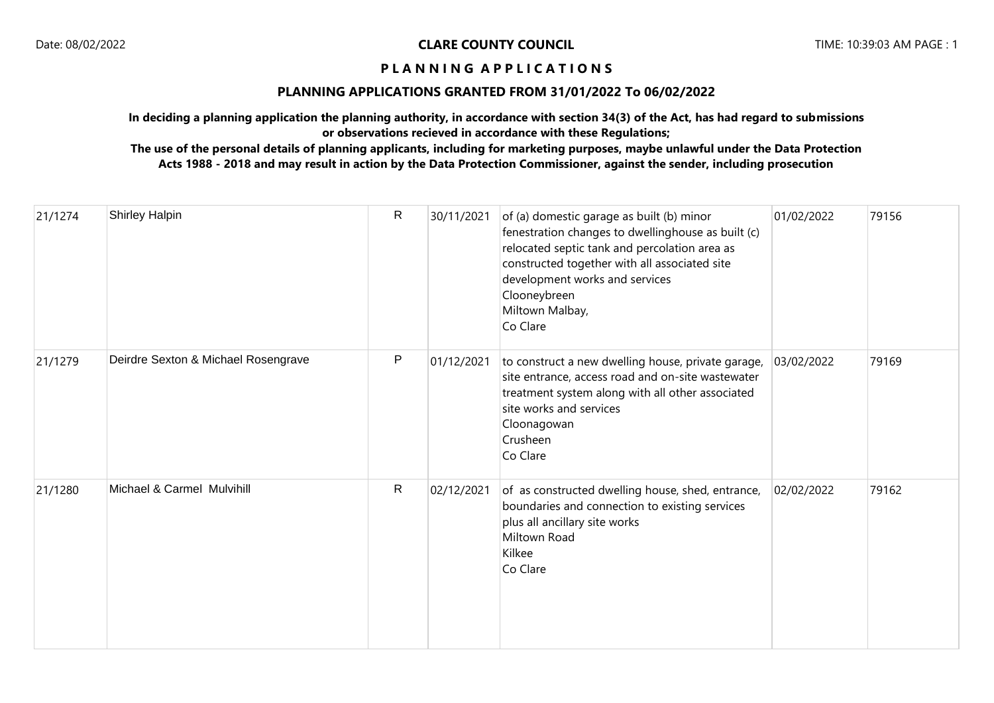# **PLANNING APPLICATIONS GRANTED FROM 31/01/2022 To 06/02/2022**

**In deciding a planning application the planning authority, in accordance with section 34(3) of the Act, has had regard to submissions or observations recieved in accordance with these Regulations;**

| 21/1274 | Shirley Halpin                      | R            | 30/11/2021 | of (a) domestic garage as built (b) minor<br>fenestration changes to dwellinghouse as built (c)<br>relocated septic tank and percolation area as<br>constructed together with all associated site<br>development works and services<br>Clooneybreen<br>Miltown Malbay,<br>Co Clare | 01/02/2022 | 79156 |
|---------|-------------------------------------|--------------|------------|------------------------------------------------------------------------------------------------------------------------------------------------------------------------------------------------------------------------------------------------------------------------------------|------------|-------|
| 21/1279 | Deirdre Sexton & Michael Rosengrave | P            | 01/12/2021 | to construct a new dwelling house, private garage,<br>site entrance, access road and on-site wastewater<br>treatment system along with all other associated<br>site works and services<br>Cloonagowan<br>Crusheen<br>Co Clare                                                      | 03/02/2022 | 79169 |
| 21/1280 | Michael & Carmel Mulvihill          | $\mathsf{R}$ | 02/12/2021 | of as constructed dwelling house, shed, entrance,<br>boundaries and connection to existing services<br>plus all ancillary site works<br>Miltown Road<br>Kilkee<br>Co Clare                                                                                                         | 02/02/2022 | 79162 |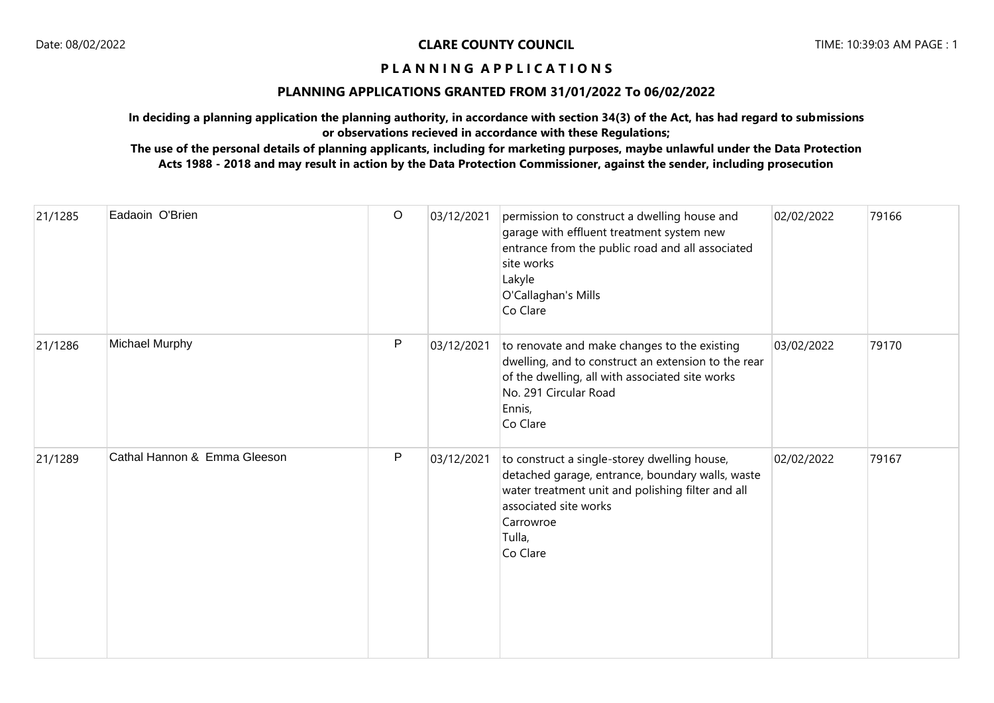## **PLANNING APPLICATIONS GRANTED FROM 31/01/2022 To 06/02/2022**

**In deciding a planning application the planning authority, in accordance with section 34(3) of the Act, has had regard to submissions or observations recieved in accordance with these Regulations;**

| 21/1285 | Eadaoin O'Brien              | $\mathsf O$ | 03/12/2021 | permission to construct a dwelling house and<br>garage with effluent treatment system new<br>entrance from the public road and all associated<br>site works<br>Lakyle<br>O'Callaghan's Mills<br>Co Clare          | 02/02/2022 | 79166 |
|---------|------------------------------|-------------|------------|-------------------------------------------------------------------------------------------------------------------------------------------------------------------------------------------------------------------|------------|-------|
| 21/1286 | <b>Michael Murphy</b>        | P           | 03/12/2021 | to renovate and make changes to the existing<br>dwelling, and to construct an extension to the rear<br>of the dwelling, all with associated site works<br>No. 291 Circular Road<br>Ennis,<br>Co Clare             | 03/02/2022 | 79170 |
| 21/1289 | Cathal Hannon & Emma Gleeson | P           | 03/12/2021 | to construct a single-storey dwelling house,<br>detached garage, entrance, boundary walls, waste<br>water treatment unit and polishing filter and all<br>associated site works<br>Carrowroe<br>Tulla,<br>Co Clare | 02/02/2022 | 79167 |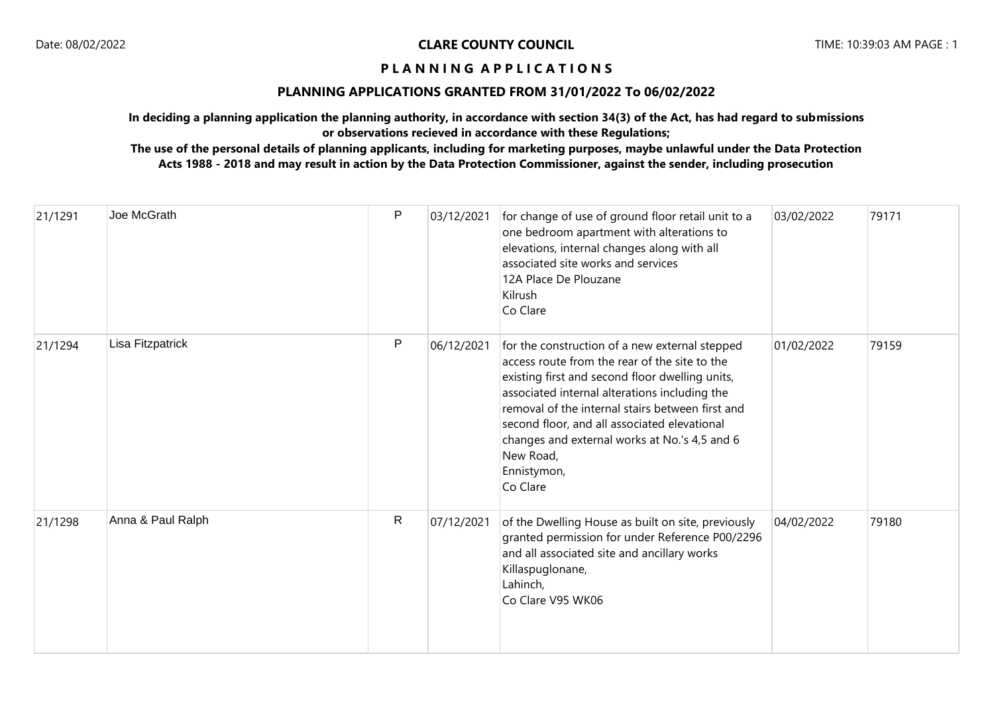# **PLANNING APPLICATIONS GRANTED FROM 31/01/2022 To 06/02/2022**

**In deciding a planning application the planning authority, in accordance with section 34(3) of the Act, has had regard to submissions or observations recieved in accordance with these Regulations;**

| 21/1291 | Joe McGrath       | $\mathsf{P}$ | 03/12/2021 | for change of use of ground floor retail unit to a<br>one bedroom apartment with alterations to<br>elevations, internal changes along with all<br>associated site works and services<br>12A Place De Plouzane<br>Kilrush<br>Co Clare                                                                                                                                                             | 03/02/2022 | 79171 |
|---------|-------------------|--------------|------------|--------------------------------------------------------------------------------------------------------------------------------------------------------------------------------------------------------------------------------------------------------------------------------------------------------------------------------------------------------------------------------------------------|------------|-------|
| 21/1294 | Lisa Fitzpatrick  | $\mathsf{P}$ | 06/12/2021 | for the construction of a new external stepped<br>access route from the rear of the site to the<br>existing first and second floor dwelling units,<br>associated internal alterations including the<br>removal of the internal stairs between first and<br>second floor, and all associated elevational<br>changes and external works at No.'s 4,5 and 6<br>New Road,<br>Ennistymon,<br>Co Clare | 01/02/2022 | 79159 |
| 21/1298 | Anna & Paul Ralph | R            | 07/12/2021 | of the Dwelling House as built on site, previously<br>granted permission for under Reference P00/2296<br>and all associated site and ancillary works<br>Killaspuglonane,<br>Lahinch,<br>Co Clare V95 WK06                                                                                                                                                                                        | 04/02/2022 | 79180 |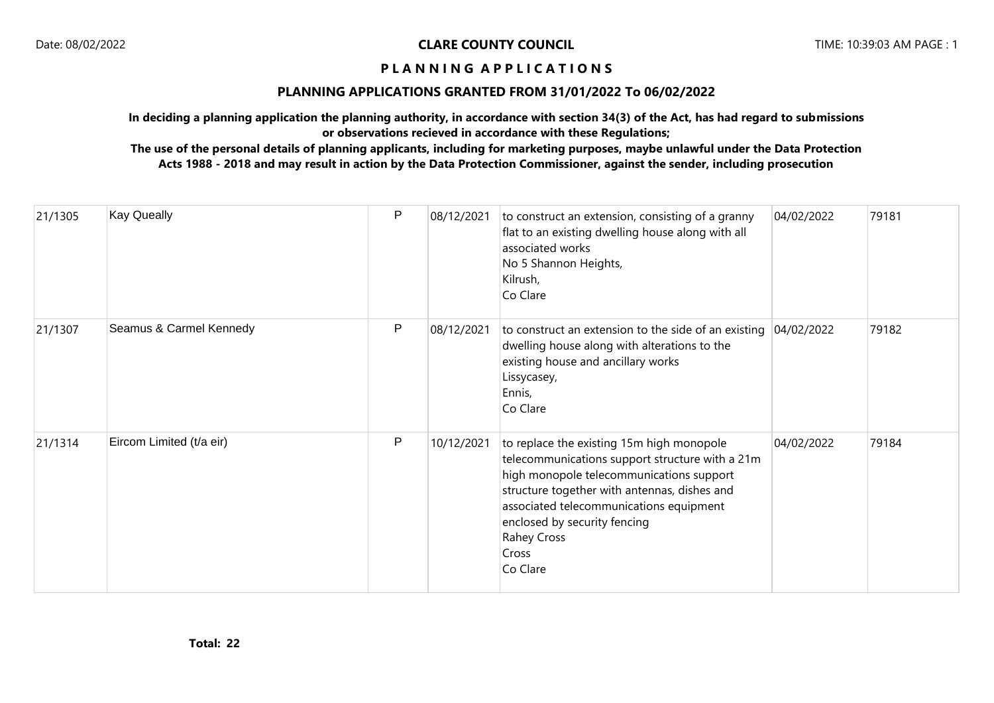# **PLANNING APPLICATIONS GRANTED FROM 31/01/2022 To 06/02/2022**

**In deciding a planning application the planning authority, in accordance with section 34(3) of the Act, has had regard to submissions or observations recieved in accordance with these Regulations;**

| 21/1305 | <b>Kay Queally</b>       | P | 08/12/2021 | to construct an extension, consisting of a granny<br>flat to an existing dwelling house along with all<br>associated works<br>No 5 Shannon Heights,<br>Kilrush,<br>Co Clare                                                                                                                             | 04/02/2022 | 79181 |
|---------|--------------------------|---|------------|---------------------------------------------------------------------------------------------------------------------------------------------------------------------------------------------------------------------------------------------------------------------------------------------------------|------------|-------|
| 21/1307 | Seamus & Carmel Kennedy  | P | 08/12/2021 | to construct an extension to the side of an existing<br>dwelling house along with alterations to the<br>existing house and ancillary works<br>Lissycasey,<br>Ennis,<br>Co Clare                                                                                                                         | 04/02/2022 | 79182 |
| 21/1314 | Eircom Limited (t/a eir) | P | 10/12/2021 | to replace the existing 15m high monopole<br>telecommunications support structure with a 21m<br>high monopole telecommunications support<br>structure together with antennas, dishes and<br>associated telecommunications equipment<br>enclosed by security fencing<br>Rahey Cross<br>Cross<br>Co Clare | 04/02/2022 | 79184 |